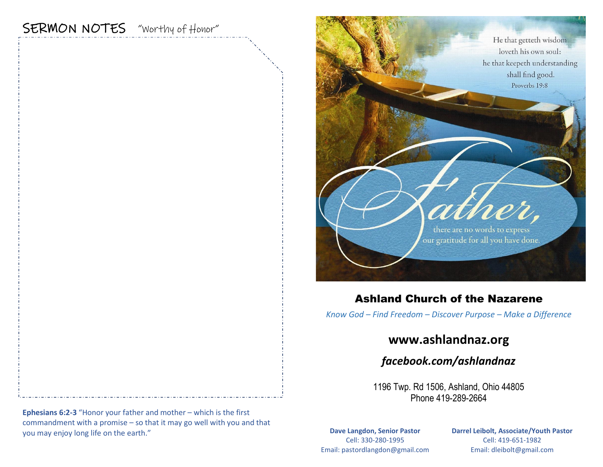# SERMON NOTES "Worthy of Honor"



## Ashland Church of the Nazarene

*Know God – Find Freedom – Discover Purpose – Make a Difference*

## **www.ashlandnaz.org**

*facebook.com/ashlandnaz*

1196 Twp. Rd 1506, Ashland, Ohio 44805 Phone 419-289-2664

**Dave Langdon, Senior Pastor** Cell: 330-280-1995 Email: pastordlangdon@gmail.com **Darrel Leibolt, Associate/Youth Pastor** Cell: 419-651-1982 Email: dleibolt@gmail.com

**Ephesians 6:2-3** "Honor your father and mother – which is the first commandment with a promise – so that it may go well with you and that you may enjoy long life on the earth."